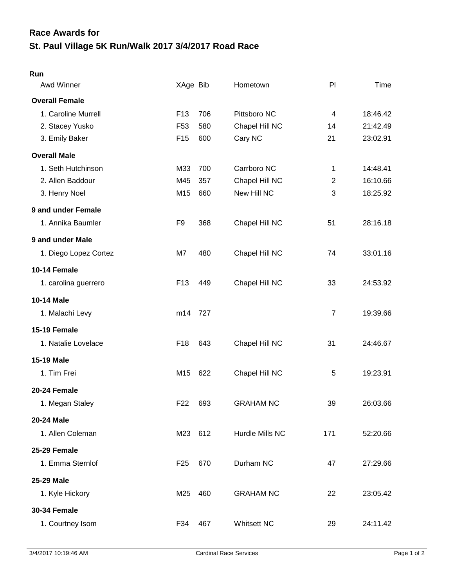## **St. Paul Village 5K Run/Walk 2017 3/4/2017 Road Race Race Awards for**

## **Run**

| Awd Winner            | XAge Bib        |     | Hometown           | PI                      | <b>Time</b> |
|-----------------------|-----------------|-----|--------------------|-------------------------|-------------|
| <b>Overall Female</b> |                 |     |                    |                         |             |
| 1. Caroline Murrell   | F <sub>13</sub> | 706 | Pittsboro NC       | $\overline{\mathbf{4}}$ | 18:46.42    |
| 2. Stacey Yusko       | F <sub>53</sub> | 580 | Chapel Hill NC     | 14                      | 21:42.49    |
| 3. Emily Baker        | F <sub>15</sub> | 600 | Cary NC            | 21                      | 23:02.91    |
| <b>Overall Male</b>   |                 |     |                    |                         |             |
| 1. Seth Hutchinson    | M33             | 700 | Carrboro NC        | $\mathbf 1$             | 14:48.41    |
| 2. Allen Baddour      | M45             | 357 | Chapel Hill NC     | $\overline{2}$          | 16:10.66    |
| 3. Henry Noel         | M15             | 660 | New Hill NC        | 3                       | 18:25.92    |
| 9 and under Female    |                 |     |                    |                         |             |
| 1. Annika Baumler     | F <sub>9</sub>  | 368 | Chapel Hill NC     | 51                      | 28:16.18    |
| 9 and under Male      |                 |     |                    |                         |             |
| 1. Diego Lopez Cortez | M7              | 480 | Chapel Hill NC     | 74                      | 33:01.16    |
| 10-14 Female          |                 |     |                    |                         |             |
| 1. carolina guerrero  | F <sub>13</sub> | 449 | Chapel Hill NC     | 33                      | 24:53.92    |
| <b>10-14 Male</b>     |                 |     |                    |                         |             |
| 1. Malachi Levy       | m14             | 727 |                    | $\overline{7}$          | 19:39.66    |
| 15-19 Female          |                 |     |                    |                         |             |
| 1. Natalie Lovelace   | F <sub>18</sub> | 643 | Chapel Hill NC     | 31                      | 24:46.67    |
| <b>15-19 Male</b>     |                 |     |                    |                         |             |
| 1. Tim Frei           | M15             | 622 | Chapel Hill NC     | 5                       | 19:23.91    |
| 20-24 Female          |                 |     |                    |                         |             |
| 1. Megan Staley       | F <sub>22</sub> | 693 | <b>GRAHAM NC</b>   | 39                      | 26:03.66    |
| 20-24 Male            |                 |     |                    |                         |             |
| 1. Allen Coleman      | M23 612         |     | Hurdle Mills NC    | 171                     | 52:20.66    |
| 25-29 Female          |                 |     |                    |                         |             |
| 1. Emma Sternlof      | F <sub>25</sub> | 670 | Durham NC          | 47                      | 27:29.66    |
| 25-29 Male            |                 |     |                    |                         |             |
| 1. Kyle Hickory       | M25             | 460 | <b>GRAHAM NC</b>   | 22                      | 23:05.42    |
| <b>30-34 Female</b>   |                 |     |                    |                         |             |
| 1. Courtney Isom      | F34             | 467 | <b>Whitsett NC</b> | 29                      | 24:11.42    |
|                       |                 |     |                    |                         |             |